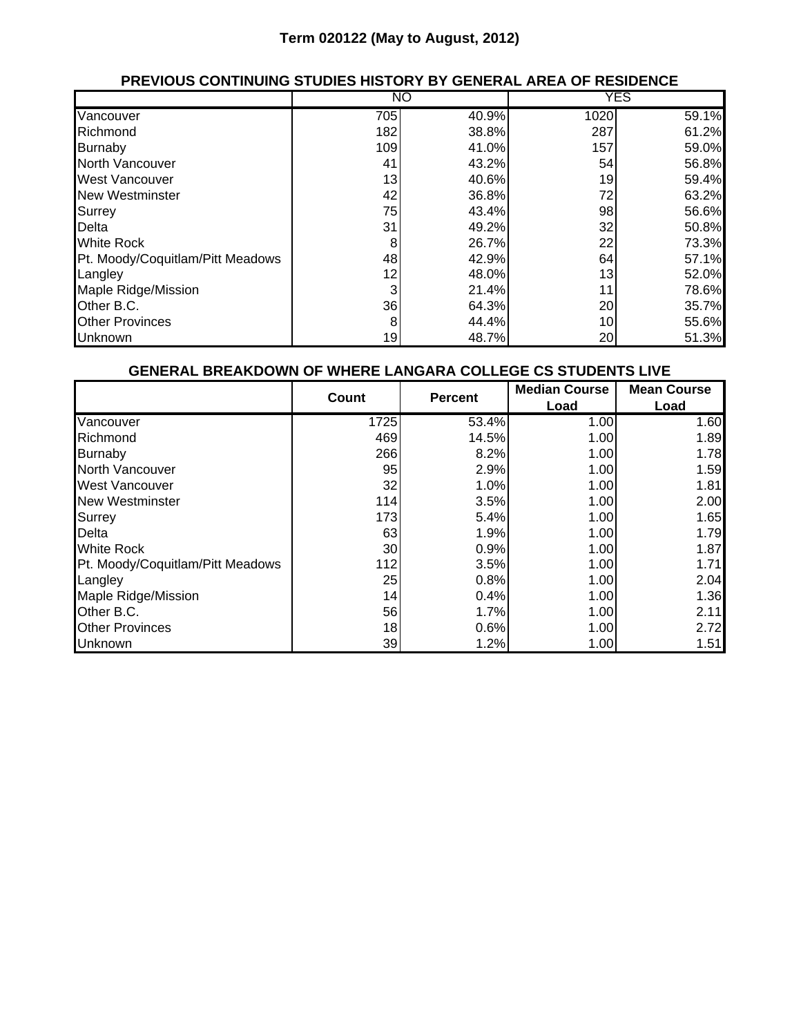## **Term 020122 (May to August, 2012)**

## **PREVIOUS CONTINUING STUDIES HISTORY BY GENERAL AREA OF RESIDENCE**

|                                  |     | NO    |      | <b>YES</b> |
|----------------------------------|-----|-------|------|------------|
| Vancouver                        | 705 | 40.9% | 1020 | 59.1%      |
| Richmond                         | 182 | 38.8% | 287  | 61.2%      |
| Burnaby                          | 109 | 41.0% | 157  | 59.0%      |
| North Vancouver                  | 41  | 43.2% | 54   | 56.8%      |
| <b>West Vancouver</b>            | 13  | 40.6% | 19   | 59.4%      |
| <b>New Westminster</b>           | 42  | 36.8% | 72   | 63.2%      |
| <b>Surrey</b>                    | 75  | 43.4% | 98   | 56.6%      |
| Delta                            | 31  | 49.2% | 32   | 50.8%      |
| <b>White Rock</b>                | 8   | 26.7% | 22   | 73.3%      |
| Pt. Moody/Coquitlam/Pitt Meadows | 48  | 42.9% | 64   | 57.1%      |
| Langley                          | 12  | 48.0% | 13   | 52.0%      |
| <b>Maple Ridge/Mission</b>       | 3   | 21.4% | 11   | 78.6%      |
| Other B.C.                       | 36  | 64.3% | 20   | 35.7%      |
| <b>Other Provinces</b>           | 8   | 44.4% | 10   | 55.6%      |
| <b>Unknown</b>                   | 19  | 48.7% | 20   | 51.3%      |

#### **GENERAL BREAKDOWN OF WHERE LANGARA COLLEGE CS STUDENTS LIVE**

|                                  | Count | <b>Percent</b> | <b>Median Course</b> | <b>Mean Course</b> |
|----------------------------------|-------|----------------|----------------------|--------------------|
|                                  |       |                | Load                 | Load               |
| Vancouver                        | 1725  | 53.4%          | 1.00                 | 1.60               |
| Richmond                         | 469   | 14.5%          | 1.00                 | 1.89               |
| Burnaby                          | 266   | 8.2%           | 1.00                 | 1.78               |
| North Vancouver                  | 95    | 2.9%           | 1.00                 | 1.59               |
| <b>West Vancouver</b>            | 32    | 1.0%           | 1.00                 | 1.81               |
| New Westminster                  | 114   | 3.5%           | 1.00                 | 2.00               |
| Surrey                           | 173   | 5.4%           | 1.00                 | 1.65               |
| Delta                            | 63    | 1.9%           | 1.00                 | 1.79               |
| <b>White Rock</b>                | 30    | 0.9%           | 1.00                 | 1.87               |
| Pt. Moody/Coquitlam/Pitt Meadows | 112   | 3.5%           | 1.00                 | 1.71               |
| Langley                          | 25    | 0.8%           | 1.00                 | 2.04               |
| Maple Ridge/Mission              | 14    | 0.4%           | 1.00                 | 1.36               |
| Other B.C.                       | 56    | 1.7%           | 1.00                 | 2.11               |
| <b>Other Provinces</b>           | 18    | 0.6%           | 1.00                 | 2.72               |
| <b>Unknown</b>                   | 39    | 1.2%           | 1.00                 | 1.51               |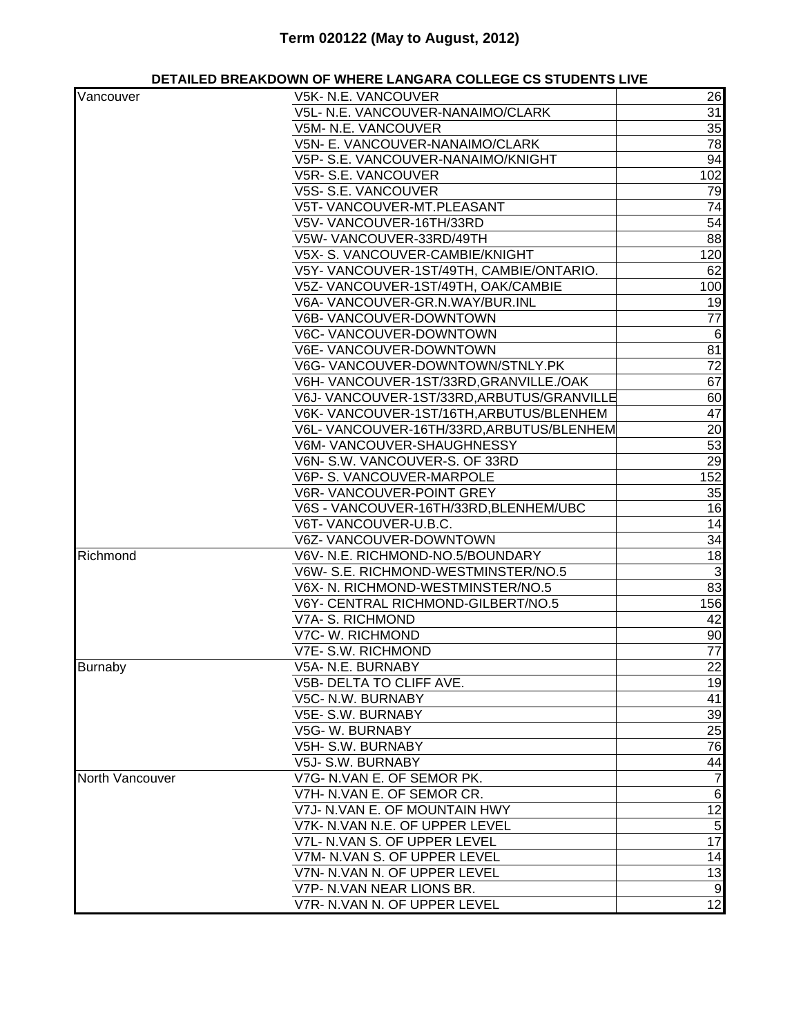# **Term 020122 (May to August, 2012)**

### **DETAILED BREAKDOWN OF WHERE LANGARA COLLEGE CS STUDENTS LIVE**

| Vancouver       | V5K- N.E. VANCOUVER                       | 26              |
|-----------------|-------------------------------------------|-----------------|
|                 | V5L- N.E. VANCOUVER-NANAIMO/CLARK         | 31              |
|                 | V5M- N.E. VANCOUVER                       |                 |
|                 |                                           | 35              |
|                 | V5N- E. VANCOUVER-NANAIMO/CLARK           | 78              |
|                 | V5P- S.E. VANCOUVER-NANAIMO/KNIGHT        | 94              |
|                 | V5R-S.E. VANCOUVER                        | 102             |
|                 | V5S- S.E. VANCOUVER                       | 79              |
|                 | V5T- VANCOUVER-MT.PLEASANT                | 74              |
|                 | V5V-VANCOUVER-16TH/33RD                   | 54              |
|                 | V5W-VANCOUVER-33RD/49TH                   | 88              |
|                 | V5X- S. VANCOUVER-CAMBIE/KNIGHT           | 120             |
|                 | V5Y- VANCOUVER-1ST/49TH, CAMBIE/ONTARIO.  | 62              |
|                 | V5Z- VANCOUVER-1ST/49TH, OAK/CAMBIE       | 100             |
|                 | V6A-VANCOUVER-GR.N.WAY/BUR.INL            | 19              |
|                 | V6B-VANCOUVER-DOWNTOWN                    | 77              |
|                 | V6C- VANCOUVER-DOWNTOWN                   | $\,6$           |
|                 | V6E- VANCOUVER-DOWNTOWN                   | 81              |
|                 | V6G-VANCOUVER-DOWNTOWN/STNLY.PK           | 72              |
|                 | V6H-VANCOUVER-1ST/33RD, GRANVILLE./OAK    | 67              |
|                 | V6J-VANCOUVER-1ST/33RD, ARBUTUS/GRANVILLE | 60              |
|                 | V6K-VANCOUVER-1ST/16TH, ARBUTUS/BLENHEM   | 47              |
|                 | V6L- VANCOUVER-16TH/33RD, ARBUTUS/BLENHEM | 20              |
|                 | V6M-VANCOUVER-SHAUGHNESSY                 | 53              |
|                 | V6N- S.W. VANCOUVER-S. OF 33RD            | 29              |
|                 | V6P- S. VANCOUVER-MARPOLE                 | 152             |
|                 | V6R-VANCOUVER-POINT GREY                  | 35              |
|                 | V6S - VANCOUVER-16TH/33RD, BLENHEM/UBC    | 16              |
|                 | V6T-VANCOUVER-U.B.C.                      | 14              |
|                 | V6Z- VANCOUVER-DOWNTOWN                   | 34              |
| Richmond        | V6V- N.E. RICHMOND-NO.5/BOUNDARY          | 18              |
|                 | V6W-S.E. RICHMOND-WESTMINSTER/NO.5        | $\mathbf{3}$    |
|                 | V6X- N. RICHMOND-WESTMINSTER/NO.5         | 83              |
|                 | V6Y- CENTRAL RICHMOND-GILBERT/NO.5        | 156             |
|                 | V7A- S. RICHMOND                          | 42              |
|                 | V7C- W. RICHMOND                          | 90              |
|                 | V7E- S.W. RICHMOND                        | 77              |
| <b>Burnaby</b>  | V5A- N.E. BURNABY                         | 22              |
|                 | V5B- DELTA TO CLIFF AVE.                  | 19              |
|                 | V5C- N.W. BURNABY                         | 41              |
|                 | V5E- S.W. BURNABY                         | 39              |
|                 | V5G-W. BURNABY                            | 25              |
|                 | V5H- S.W. BURNABY                         | 76              |
|                 | V5J- S.W. BURNABY                         | 44              |
| North Vancouver | V7G- N.VAN E. OF SEMOR PK.                | $\overline{7}$  |
|                 | V7H- N.VAN E. OF SEMOR CR.                | $6\phantom{1}6$ |
|                 | V7J- N.VAN E. OF MOUNTAIN HWY             | 12              |
|                 | V7K- N.VAN N.E. OF UPPER LEVEL            | 5               |
|                 | V7L- N.VAN S. OF UPPER LEVEL              | 17              |
|                 | V7M- N.VAN S. OF UPPER LEVEL              | 14              |
|                 | V7N- N.VAN N. OF UPPER LEVEL              | 13              |
|                 | V7P- N.VAN NEAR LIONS BR.                 | $\overline{9}$  |
|                 | V7R- N.VAN N. OF UPPER LEVEL              | 12              |
|                 |                                           |                 |